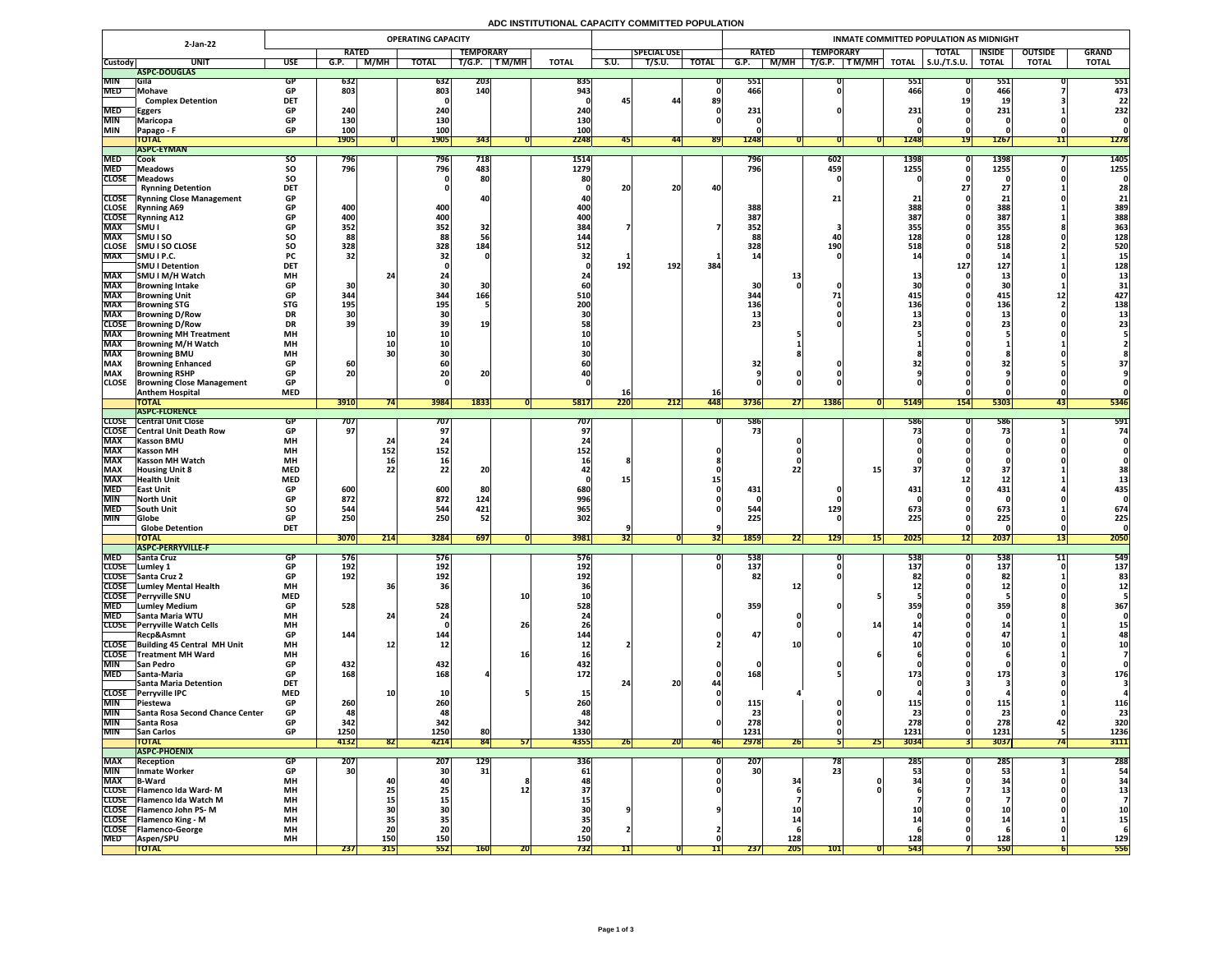# **ADC INSTITUTIONAL CAPACITY COMMITTED POPULATION**

|                              | 2-Jan-22                                                          | <b>OPERATING CAPACITY</b> |              |                  |              |                  |              |                    | INMATE COMMITTED POPULATION AS MIDNIGHT |                    |              |                                 |                              |                   |                     |                    |                |                 |
|------------------------------|-------------------------------------------------------------------|---------------------------|--------------|------------------|--------------|------------------|--------------|--------------------|-----------------------------------------|--------------------|--------------|---------------------------------|------------------------------|-------------------|---------------------|--------------------|----------------|-----------------|
|                              |                                                                   |                           | <b>RATED</b> |                  |              | <b>TEMPORARY</b> |              |                    |                                         | <b>SPECIAL USE</b> |              | <b>RATED</b>                    | <b>TEMPORARY</b>             |                   | <b>TOTAL</b>        | <b>INSIDE</b>      | <b>OUTSIDE</b> | <b>GRAND</b>    |
| <b>Custody</b>               | <b>UNI</b>                                                        | <b>USE</b>                | G.P.         | M/MH             | <b>TOTAL</b> | T/G.P.           | <b>TM/MH</b> | <b>TOTAL</b>       | S.U.                                    | T/S.U.             | <b>TOTAL</b> | M/MH<br>G.P.                    | T/G.P.<br>TM/MH              | <b>TOTAL</b>      | $\vert$ S.U./T.S.U. | <b>TOTAL</b>       | <b>TOTAL</b>   | <b>TOTAL</b>    |
|                              | ASPC-DOUGLAS                                                      |                           |              |                  |              |                  |              |                    |                                         |                    |              |                                 |                              |                   |                     |                    |                |                 |
| <b>MIN</b>                   | <b>IGila</b>                                                      |                           | 632          |                  | 632          | <b>203</b>       |              | 835                |                                         |                    |              | 551                             |                              | 551               |                     | <b>PPT</b>         |                | 551             |
| <b>MED</b>                   | <b>Mohave</b><br><b>Complex Detention</b>                         | <b>DET</b>                | 803          |                  | 803          | 140              |              | 943                |                                         | 44                 | 89           | 466                             |                              | 466               |                     | 466                |                | 473<br>22       |
| <b>MED</b>                   |                                                                   | <b>GP</b>                 | 240          |                  | 240          |                  |              | 240                |                                         |                    |              | 231                             |                              | 231               |                     | <u>. д.</u><br>231 |                | 232             |
| <b>MIN</b>                   | <b>Eggers</b><br>Maricopa                                         |                           | <b>130</b>   |                  | <b>130</b>   |                  |              | 130                |                                         |                    |              |                                 |                              |                   |                     |                    |                |                 |
| <b>MIN</b>                   | Papago - F                                                        | <b>GP</b>                 | 100          |                  | 100          |                  |              | 100                |                                         |                    |              |                                 |                              |                   |                     |                    |                |                 |
|                              | <b>TOTAL</b>                                                      |                           | <b>1905</b>  |                  | <b>1905</b>  | 343              |              | 2248               | 45                                      | 44                 | <b>891</b>   | 1248                            |                              | 1248              | <b>19 </b>          | <b>1267</b>        | 11             | <b>1278</b>     |
|                              | <b>ASPC-EYMAN</b>                                                 |                           |              |                  |              |                  |              |                    |                                         |                    |              |                                 |                              |                   |                     |                    |                |                 |
| <b>MED</b>                   | <b>Cook</b>                                                       | <b>SO</b>                 | 796          |                  | 796          | 718              |              | 1514               |                                         |                    |              | 796                             | 602                          | 1398              |                     | 1398               |                | 1405            |
| <b>MED</b>                   | <b>Meadows</b>                                                    | <b>SO</b>                 | 796          |                  | 796          | 483              |              | 1279               |                                         |                    |              | 796                             | 459                          | 1255              |                     | 1255               |                | 1255            |
| <b>CLOSE</b>                 | Meadows                                                           | SO                        |              |                  |              | 80               |              |                    |                                         |                    |              |                                 |                              |                   |                     |                    |                |                 |
|                              | <b>Rynning Detention</b>                                          | <b>DET</b>                |              |                  |              |                  |              |                    | <b>20</b>                               | 20                 | 40           |                                 |                              |                   |                     | 4 I                |                | 28              |
|                              | <b>CLOSE</b> Rynning Close Management                             | <b>GP</b>                 |              |                  | 400          |                  |              |                    |                                         |                    |              |                                 |                              |                   |                     |                    |                | 21              |
| <b>CLOSE</b><br><b>CLOSE</b> | <b>Rynning A69</b><br><b>Rynning A12</b>                          | <b>GP</b><br><b>GP</b>    | 400<br>400   |                  | 400          |                  |              | 400 <br><b>400</b> |                                         |                    |              | 388<br>387                      |                              | <b>388</b><br>387 |                     | 388<br>387         |                | 389<br>388      |
| <b>MAX</b>                   | <b>SMUI</b>                                                       |                           | 352          |                  | 352          | 32               |              | 384                |                                         |                    |              | 352                             |                              | 355               |                     | 355                |                | 363             |
| <b>MAX</b>                   | <b>SMUISO</b>                                                     | SO                        | 88           |                  | 88           |                  |              | 144                |                                         |                    |              |                                 |                              | 128               |                     | 128                |                | 128             |
| <b>CLOSE</b>                 | <b>SMU I SO CLOSE</b>                                             | <b>SO</b>                 | 328          |                  | 328          | 184              |              | 512                |                                         |                    |              | 328                             | 190                          | 518               |                     | 518                |                | 520             |
| <b>MAX</b>                   | SMU I P.C.                                                        | <b>PC</b>                 | 32           |                  |              |                  |              |                    |                                         |                    |              |                                 |                              |                   |                     |                    |                |                 |
|                              | <b>SMU I Detention</b>                                            | <b>DET</b>                |              |                  |              |                  |              |                    | 192                                     | 192                | 384          |                                 |                              |                   | 127                 | 127                |                | 128             |
| <b>MAX</b>                   | SMU I M/H Watch                                                   | <b>MH</b>                 |              |                  |              |                  |              |                    |                                         |                    |              |                                 |                              |                   |                     |                    |                |                 |
| <b>MAX</b>                   | <b>IBrowning Intake</b>                                           | <b>GP</b>                 | 30           |                  | <b>30</b>    |                  |              |                    |                                         |                    |              | 30                              |                              |                   |                     | CO.<br>JU –        |                |                 |
| <b>MAX</b>                   | <b>Browning Unit</b>                                              | <b>GP</b>                 | 344          |                  | 344          | 166'             |              | 510                |                                         |                    |              | 344                             |                              | 415               |                     | 415                |                | 427             |
| <b>MAX</b>                   | <b>Browning STG</b>                                               | <b>STG</b>                | 195          |                  | 195          |                  |              | <b>200</b>         |                                         |                    |              | <b>136</b>                      |                              | <b>136</b>        |                     | 136                |                | 138             |
| <b>MAX</b><br><b>CLOSE</b>   | <b>Browning D/Row</b>                                             | <b>DR</b><br><b>DR</b>    | 30<br>39     |                  |              |                  |              |                    |                                         |                    |              |                                 |                              |                   |                     | --                 |                |                 |
| <b>MAX</b>                   | <b>Browning D/Row</b><br><b>Browning MH Treatment</b>             | <b>MH</b>                 |              |                  |              |                  |              |                    |                                         |                    |              |                                 |                              |                   |                     |                    |                |                 |
| <b>MAX</b>                   | <b>TBrowning M/H Watch</b>                                        | <b>MH</b>                 |              |                  |              |                  |              |                    |                                         |                    |              |                                 |                              |                   |                     |                    |                |                 |
| <b>MAX</b>                   | <b>IBrowning BMU</b>                                              | <b>MH</b>                 |              |                  |              |                  |              |                    |                                         |                    |              |                                 |                              |                   |                     |                    |                |                 |
| <b>MAX</b>                   | <b>Browning Enhanced</b>                                          | <b>GP</b>                 | 60           |                  |              |                  |              |                    |                                         |                    |              |                                 |                              |                   |                     |                    |                |                 |
| <b>MAX</b>                   | <b>Browning RSHP</b>                                              | <b>GP</b>                 | 20           |                  | ZUI          | ZU               |              |                    |                                         |                    |              |                                 |                              |                   |                     |                    |                |                 |
| <b>CLOSE</b>                 | <b>Browning Close Management</b>                                  | <b>GP</b>                 |              |                  |              |                  |              |                    |                                         |                    |              |                                 |                              |                   |                     |                    |                |                 |
|                              | <b>Anthem Hospital</b>                                            | <b>MED</b>                |              |                  |              |                  |              |                    | <b>16</b>                               |                    | <b>16</b>    |                                 |                              |                   |                     |                    |                |                 |
|                              | <b>TOTAL</b>                                                      |                           | 3910         |                  | 3984         | 1833             |              | 5817               | 220                                     | 212                | 448          | 3736<br>211                     | <b>1386</b>                  | 5149              | <b>154</b>          | 5303               | 43             | 5346            |
|                              | <b>ASPC-FLORENCE</b>                                              |                           |              |                  |              |                  |              |                    |                                         |                    |              |                                 |                              |                   |                     |                    |                |                 |
| <b>CLOSE</b><br><b>CLOSE</b> | <b>Central Unit Close</b><br><b>Central Unit Death Row</b>        |                           | 707 <br>97   |                  | 707          |                  |              | $\bar{7}07'$       |                                         |                    |              | 586<br>75                       |                              | <b>586</b>        |                     | 586                |                | 591<br>74       |
| <b>MAX</b>                   | <b>Kasson BMU</b>                                                 | <b>MH</b>                 |              |                  |              |                  |              |                    |                                         |                    |              |                                 |                              |                   |                     |                    |                |                 |
| <b>MAX</b>                   | <b> Kasson MH</b>                                                 | <b>MH</b>                 |              | 152              | 152          |                  |              | 152                |                                         |                    |              |                                 |                              |                   |                     |                    |                |                 |
| <b>MAX</b>                   | <b>Kasson MH Watch</b>                                            | <b>MH</b>                 |              | <b>16</b>        |              |                  |              |                    |                                         |                    |              |                                 |                              |                   |                     |                    |                |                 |
| <b>MAX</b>                   | <b>Housing Unit 8</b>                                             | <b>MED</b>                |              | 22               |              | $\bigcap$<br>ZU  |              |                    |                                         |                    |              |                                 |                              |                   |                     |                    |                |                 |
| <b>MAX</b>                   | <b>Health Unit</b>                                                | <b>MED</b>                |              |                  |              |                  |              |                    |                                         |                    |              |                                 |                              |                   |                     |                    |                |                 |
| <b>MED</b>                   | <b>TEast Unit</b>                                                 |                           | 600          |                  | 600          | 80 <sub>1</sub>  |              | 680                |                                         |                    |              | 431                             |                              | 431               |                     | 431                |                | 435             |
| <b>MIN</b>                   | <b>North Unit</b>                                                 |                           | 872          |                  | 872          | 124              |              | 996                |                                         |                    |              |                                 |                              |                   |                     |                    |                |                 |
| <b>MED</b>                   | <b>South Unit</b>                                                 | <b>SO</b>                 | 544          |                  | 544          | 421              |              | 965                |                                         |                    |              | 544                             | 129                          | 673               |                     | 673                |                | 674             |
| <b>MIN</b>                   | Globe<br><b>Globe Detention</b>                                   | <b>GP</b><br><b>DET</b>   | 250          |                  | 250          | 52               |              | 302                |                                         |                    |              | 225                             |                              | 225               |                     | 225                |                | 225             |
|                              | <b>TOTAL</b>                                                      |                           | 3070         | $\overline{211}$ | 3284         | 697              |              | 3981               |                                         |                    |              | 1859<br>$\overline{\mathbf{S}}$ | 129 <br>$1$ C $\overline{ }$ | $\boxed{2025}$    | 12                  | 2037               | 15             | 2050            |
|                              | <b>ASPC-PERRYVILLE-F</b>                                          |                           |              | <b>Z14</b>       |              |                  |              |                    | 32                                      |                    |              | 22                              | 15                           |                   |                     |                    |                |                 |
| <b>MED</b>                   | <b>Santa Cruz</b>                                                 |                           | 5/6          |                  | 576          |                  |              | <b>576</b>         |                                         |                    |              | 538                             |                              | <b>538</b>        |                     | 538                |                | 549             |
| <b>CLOSE</b>                 | Lumley 1                                                          |                           | 192          |                  | 192          |                  |              | 192 <sub>1</sub>   |                                         |                    |              | 137                             |                              | 137               |                     | 137                |                | 137             |
|                              | CLOSE Santa Cruz 2                                                | <b>GP</b>                 | <b>192</b>   |                  | 192          |                  |              | 192                |                                         |                    |              |                                 |                              |                   |                     | 82                 |                | 83              |
| <b>CLOSE</b>                 | <b>Lumley Mental Health</b>                                       | <b>MH</b>                 |              |                  | <b>36</b>    |                  |              |                    |                                         |                    |              |                                 |                              |                   |                     |                    |                |                 |
| <b>CLOSE</b>                 | <b>Perryville SNU</b>                                             | <b>MED</b>                |              |                  |              |                  | <b>10</b>    |                    |                                         |                    |              |                                 |                              |                   |                     |                    |                |                 |
| <b>MED</b>                   | <b>Lumley Medium</b>                                              | <b>GP</b>                 | 528          |                  | 528          |                  |              | 528                |                                         |                    |              | 359                             |                              | 359               |                     | 359                |                | 367             |
| <b>MED</b>                   | <b>Santa Maria WTU</b><br>CLOSE Perryville Watch Cells            | <b>MH</b><br><b>MH</b>    |              |                  |              |                  | 26           |                    |                                         |                    |              |                                 |                              |                   |                     |                    |                |                 |
|                              | Recp&Asmnt                                                        | <b>GP</b>                 | 144          |                  | 144          |                  |              | 144                |                                         |                    |              | 47                              |                              |                   |                     | 47                 |                |                 |
|                              | CLOSE Building 45 Central MH Unit                                 | <b>MH</b>                 |              | <b>12</b>        |              |                  |              |                    |                                         |                    |              | ∸∽                              |                              |                   |                     |                    |                |                 |
| <b>CLOSE</b>                 | <b>Treatment MH Ward</b>                                          | <b>MH</b>                 |              |                  |              |                  |              |                    |                                         |                    |              |                                 |                              |                   |                     |                    |                |                 |
| <b>MIN</b>                   | <b>San Pedro</b>                                                  | <b>GP</b>                 | 432          |                  | 432          |                  |              | 432                |                                         |                    |              |                                 |                              |                   |                     |                    |                |                 |
| <b>MED</b>                   | <b>Santa-Maria</b>                                                | <b>GP</b>                 | 168          |                  | 168          |                  |              | 172                |                                         |                    |              | 168                             |                              | <b>173</b>        |                     | 173                |                | 176             |
|                              | <b>Santa Maria Detention</b>                                      | <b>DET</b>                |              |                  |              |                  |              |                    |                                         | 20 <sub>1</sub>    |              |                                 |                              |                   |                     |                    |                |                 |
| <b>CLOSE</b>                 | <b>Perryville IPC</b>                                             | <b>MED</b>                |              |                  |              |                  |              |                    |                                         |                    |              |                                 |                              |                   |                     |                    |                |                 |
| <b>MIN</b><br><b>MIN</b>     | <b>TPiestewa</b><br><b>Santa Rosa Second Chance Center</b>        | <b>GP</b>                 | 260          |                  | 260<br>48    |                  |              |                    |                                         |                    |              | 115<br>23                       |                              |                   |                     | 23                 |                | 116             |
| <b>MIN</b>                   |                                                                   |                           | 342          |                  | 342          |                  |              | 342                |                                         |                    |              | 278                             |                              | 278               |                     | 278                | 42             | 23              |
| <b>MIN</b>                   | Santa Rosa<br><b>San Carlos</b>                                   | <b>GP</b>                 | 1250         |                  | 1250         | 80               |              | 1330               |                                         |                    |              | 1231                            |                              | 1231              |                     | 1231               |                | 320<br>1236     |
|                              | <b>TOTAL</b>                                                      |                           | 4132         | 821              | 4214         | 84               | 51           | 4355               | 20                                      | ZUI                | <b>461</b>   | 2978<br>ZD.                     | 25                           | 3034              |                     | 3037               |                | 3111            |
|                              | <b>ASPC-PHOENIX</b>                                               |                           |              |                  |              |                  |              |                    |                                         |                    |              |                                 |                              |                   |                     |                    |                |                 |
| <b>MAX</b>                   | <b>Reception</b>                                                  |                           | 207          |                  | 207          | 129              |              | 336                |                                         |                    |              | 207                             | $\sqrt{2}$                   | <b>285</b>        |                     | 285                |                | 288             |
| <b>MIN</b>                   | Inmate Worker                                                     |                           | 30           |                  | <b>30</b>    | 31 <sub>1</sub>  |              | 61                 |                                         |                    |              | 30 <sup>1</sup>                 |                              |                   |                     | 53                 |                | 54              |
| <b>MAX</b>                   | <b>B-Ward</b>                                                     | <b>MH</b>                 |              |                  |              |                  |              |                    |                                         |                    |              | $\mathbf{2}$                    |                              |                   |                     |                    |                |                 |
| <b>CLOSE</b>                 | <b>TFlamenco Ida Ward-M</b>                                       | <b>MH</b>                 |              | LJ               | <b>Z51</b>   |                  |              |                    |                                         |                    |              |                                 |                              |                   |                     |                    |                |                 |
|                              | CLOSE   Flamenco Ida Watch M                                      | <b>MH</b>                 |              | <b>15</b>        |              |                  |              |                    |                                         |                    |              |                                 |                              |                   |                     |                    |                |                 |
|                              | <b>CLOSE</b> Flamenco John PS-M<br><b>CLOSE</b> Flamenco King - M | <b>MH</b><br><b>MH</b>    |              |                  |              |                  |              |                    |                                         |                    |              |                                 |                              |                   |                     |                    |                | <b>10</b><br>15 |
| <b>CLOSE</b>                 | <b>T</b> Flamenco-George                                          | <b>MH</b>                 |              | 35'              | 20           |                  |              |                    |                                         |                    |              |                                 |                              |                   |                     |                    |                |                 |
| <b>MED</b>                   | <b>Aspen/SPU</b>                                                  | <b>MH</b>                 |              | <b>150</b>       | 150          |                  |              | <b>150</b>         |                                         |                    |              | 128                             |                              | 128               |                     | <b>128</b>         |                | 129             |
|                              | <b>TOTAL</b>                                                      |                           | 237          | 315              | 552          | <b>160</b>       | ZU           | <b>732</b>         |                                         |                    |              | 205<br> 237                     | 101                          | <b>543</b>        |                     | 550                |                | 556             |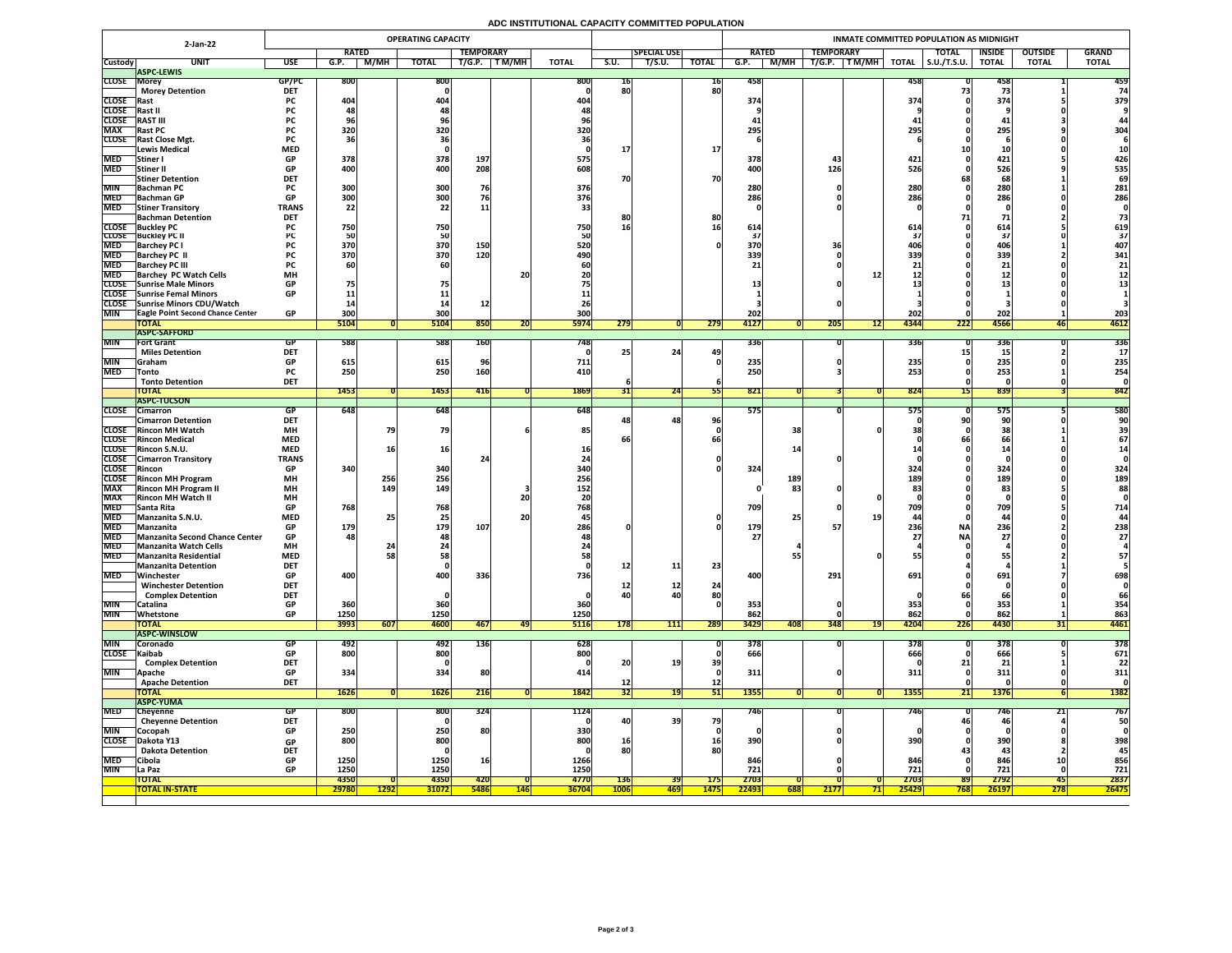# **ADC INSTITUTIONAL CAPACITY COMMITTED POPULATION**

|                          | <b>OPERATING CAPACITY</b><br>2-Jan-22                  |                          |              |               |                                |                  |            |              |                 |                    |                                | INMATE COMMITTED POPULATION AS MIDNIGHT |                  |                       |              |                     |                  |                |              |  |  |  |
|--------------------------|--------------------------------------------------------|--------------------------|--------------|---------------|--------------------------------|------------------|------------|--------------|-----------------|--------------------|--------------------------------|-----------------------------------------|------------------|-----------------------|--------------|---------------------|------------------|----------------|--------------|--|--|--|
|                          |                                                        |                          | <b>RATED</b> |               |                                | <b>TEMPORARY</b> |            |              |                 | <b>SPECIAL USE</b> |                                | <b>RATED</b>                            | <b>TEMPORARY</b> |                       |              | <b>TOTAL</b>        | <b>INSIDE</b>    | <b>OUTSIDE</b> | <b>GRAND</b> |  |  |  |
| <b>Custody</b>           | <b>UNIT</b>                                            | <b>USE</b>               | G.P.         | M/MH          | <b>TOTAL</b>                   | T/G.P.           | T M/MH     | <b>TOTAL</b> | S.U.            | T/S.U.             | <b>TOTAL</b>                   | M/MH<br>G.P.                            | T/G.P.           | TM/MH<br><b>TOTAL</b> |              | $\vert$ S.U./T.S.U. | <b>TOTAL</b>     | <b>TOTAL</b>   | <b>TOTAL</b> |  |  |  |
| <b>CLOSE Morey</b>       | <b>ASPC-LEWIS</b>                                      | GP/PC                    | <b>800</b>   |               | 800                            |                  |            | <b>800</b>   |                 |                    |                                |                                         |                  |                       |              |                     |                  |                | 459          |  |  |  |
|                          | <b>Morey Detention</b>                                 | <b>DET</b>               |              |               |                                |                  |            |              | TP<br>80        |                    | $\overline{\mathbf{16}}$<br>80 | 458                                     |                  |                       | 458          |                     | 458              |                |              |  |  |  |
| <b>CLOSE</b> Rast        |                                                        | <b>PC</b>                | 404          |               | 404                            |                  |            | <b>404</b>   |                 |                    |                                | 374                                     |                  |                       | 374          |                     | 374              |                | 379          |  |  |  |
| CLOSE Rast II            |                                                        | <b>PC</b>                |              |               |                                |                  |            |              |                 |                    |                                |                                         |                  |                       |              |                     |                  |                |              |  |  |  |
| <b>CLOSE</b>             | <b>RAST III</b>                                        | <b>PC</b>                |              |               |                                |                  |            |              |                 |                    |                                |                                         |                  |                       |              |                     |                  |                |              |  |  |  |
| <b>MAX</b>               | <b>Rast PC</b><br><b>CLOSE</b> Rast Close Mgt.         | <b>PC</b>                | <b>320</b>   |               | 320                            |                  |            | 320          |                 |                    |                                | 295                                     |                  |                       | 295          |                     | 295              |                | 304          |  |  |  |
|                          | Lewis Medical                                          | <b>PC</b><br><b>MED</b>  |              |               |                                |                  |            |              |                 |                    | <b>17</b>                      |                                         |                  |                       |              |                     |                  |                |              |  |  |  |
| <b>MED</b>               | Stiner I                                               | <b>GP</b>                | 378          |               | 378                            | 197              |            | 575          |                 |                    |                                | 378                                     |                  |                       | 421          |                     | 421              |                | 426          |  |  |  |
| <b>MED</b>               | Stiner II                                              | <b>GP</b>                | 400          |               | 400                            | 208              |            | 608          |                 |                    |                                | 400                                     | 126              |                       | 526          |                     | 526              |                | 535          |  |  |  |
|                          | <b>Stiner Detention</b>                                | <b>DET</b>               |              |               |                                |                  |            |              | 70              |                    | 70                             |                                         |                  |                       |              |                     | 68               |                | 69           |  |  |  |
| <b>MIN</b>               | <b>Bachman PC</b>                                      | <b>PC</b><br>GD.         | 300<br>ാവി   |               | 300<br><b>3UUL</b>             | 76               |            | 376          |                 |                    |                                | 280<br>286                              |                  |                       | 280<br>2861  |                     | 280<br>286       |                | 281          |  |  |  |
| <b>MED</b>               | MED Bachman GP<br><b>Stiner Transitory</b>             | VГ<br><b>TRANS</b>       | JUU<br>22    |               | <b>POOL</b><br>22 <sub>1</sub> |                  |            | 376          |                 |                    |                                | LOU                                     |                  |                       | <b>LOU</b>   |                     | LOU              |                | 286          |  |  |  |
|                          | <b>Bachman Detention</b>                               | <b>DET</b>               |              |               |                                | ᆂᆂ               |            |              |                 |                    | 80                             |                                         |                  |                       |              |                     |                  |                |              |  |  |  |
|                          | <b>CLOSE</b> Buckley PC                                |                          | 750          |               | 750                            |                  |            | 750          | 16              |                    |                                | 614                                     |                  |                       | 614          |                     | <b>614</b>       |                | 619          |  |  |  |
|                          | <b>CLOSE</b> Buckley PC II                             |                          |              |               | 50                             |                  |            |              |                 |                    |                                |                                         |                  |                       |              |                     |                  |                | 37           |  |  |  |
| <b>MED</b>               | <b>Barchey PC I</b>                                    |                          | 370          |               | 370                            | <b>150</b>       |            | 520          |                 |                    |                                | 370                                     |                  |                       |              |                     | <b>406</b>       |                | 407          |  |  |  |
| <b>MED</b><br><b>MED</b> | <b>Barchey PC II</b>                                   | <b>PC</b>                | 370          |               | 370                            | 120              |            | 490          |                 |                    |                                | 339                                     |                  |                       | 339          |                     | 339              |                | 341          |  |  |  |
| <b>MED</b>               | <b>Barchey PC III</b><br><b>Barchey PC Watch Cells</b> | <b>MH</b>                |              |               |                                |                  | 20         |              |                 |                    |                                |                                         |                  |                       |              |                     |                  |                | 21           |  |  |  |
|                          | CLOSE Sunrise Male Minors                              | <b>GP</b>                | 75           |               |                                |                  |            |              |                 |                    |                                |                                         |                  |                       |              |                     | & &              |                |              |  |  |  |
|                          | <b>CLOSE</b> Sunrise Femal Minors                      | <b>GP</b>                |              |               |                                |                  |            |              |                 |                    |                                |                                         |                  |                       |              |                     |                  |                |              |  |  |  |
|                          | CLOSE Sunrise Minors CDU/Watch                         |                          |              |               |                                |                  |            |              |                 |                    |                                |                                         |                  |                       |              |                     |                  |                |              |  |  |  |
| <b>MIN</b>               | <b>TEagle Point Second Chance Center</b>               | <b>GP</b>                | 300          |               | 300                            |                  |            | 300          |                 |                    |                                | 202                                     |                  |                       | 202          |                     | 202              |                | 203          |  |  |  |
|                          | <b>TOTAL</b><br><b>ASPC-SAFFORD</b>                    |                          | 5104         |               | 5104                           | 850              | ZUI        | <b>5974</b>  | 279             |                    | 279                            | 4127                                    | 205              | <b>1217</b>           | 4344         | 222                 | 4566             | 46             | 4612         |  |  |  |
| <b>MIN</b>               | <b>Fort Grant</b>                                      | <b>GP</b>                | 588          |               | 588                            | <b>160</b>       |            | 748          |                 |                    |                                | 336                                     |                  |                       | <b>336</b>   |                     | 336              |                | 336          |  |  |  |
|                          | <b>Miles Detention</b>                                 | <b>DET</b>               |              |               |                                |                  |            |              |                 | 24                 | 49                             |                                         |                  |                       |              |                     |                  |                |              |  |  |  |
| <b>MIN</b>               | <b>Graham</b>                                          | <b>GP</b>                | 615          |               | 615                            |                  |            | 711          |                 |                    |                                | 235                                     |                  |                       | 235          |                     | 235              |                | 235          |  |  |  |
| <b>MED</b>               | <b>Tonto</b>                                           | <b>PC</b>                | 250          |               | 250                            | <b>160</b>       |            | 410          |                 |                    |                                | 250                                     |                  |                       | 253          |                     | 253              |                | 254          |  |  |  |
|                          | <b>Tonto Detention</b><br><b>TOTAL</b>                 | <b>DET</b>               | 1453         |               | 1453                           |                  |            |              |                 | 24                 |                                |                                         |                  |                       |              |                     |                  |                |              |  |  |  |
|                          | <b>ASPC-TUCSON</b>                                     |                          |              |               |                                | <b>416</b>       |            | 1869         | <b>JTI</b>      |                    |                                | 821                                     |                  |                       | 824          |                     | 839              |                | 842          |  |  |  |
| <b>CLOSE</b>             | <b>Cimarron</b>                                        | GP                       | 648          |               | 648                            |                  |            | 648          |                 |                    |                                | 575                                     |                  |                       | <b>575</b>   |                     | <b>575</b>       |                | 580          |  |  |  |
|                          | <b>Cimarron Detention</b>                              | <b>DET</b>               |              |               |                                |                  |            |              |                 | 48                 | 96                             |                                         |                  |                       |              |                     |                  |                | 90           |  |  |  |
|                          | <b>CLOSE</b> Rincon MH Watch                           | <b>MH</b>                |              |               | 79                             |                  |            | 85           |                 |                    |                                | 38                                      |                  |                       |              |                     |                  |                |              |  |  |  |
|                          | <b>CLOSE</b> Rincon Medical<br>CLOSE Rincon S.N.U.     | <b>MED</b><br><b>MED</b> |              |               | 16                             |                  |            |              | bt              |                    |                                |                                         |                  |                       |              |                     |                  |                | 67           |  |  |  |
|                          | <b>CLOSE</b> Cimarron Transitory                       | <b>TRANS</b>             |              |               |                                |                  |            |              |                 |                    |                                |                                         |                  |                       |              |                     |                  |                |              |  |  |  |
| CLOSE Rincon             |                                                        | <b>GP</b>                | 340          |               | 340                            |                  |            | 340          |                 |                    |                                | 324                                     |                  |                       | 324          |                     | 324              |                | 324          |  |  |  |
|                          | CLOSE Rincon MH Program                                | <b>MH</b>                |              | 256           | 256                            |                  |            | 256          |                 |                    |                                | 189                                     |                  |                       | 189          |                     | 189              |                | 189          |  |  |  |
| <b>MAX</b>               | <b>Rincon MH Program II</b>                            | <b>MH</b>                |              | 149           | 149                            |                  |            | 152          |                 |                    |                                |                                         | 83               |                       |              |                     | 83               |                | 88           |  |  |  |
| <b>MAX</b>               | <b>Rincon MH Watch II</b>                              | <b>MH</b>                |              |               |                                |                  | 20         |              |                 |                    |                                |                                         |                  |                       | 700          |                     |                  |                |              |  |  |  |
| <b>MED</b><br><b>MED</b> | <b>Santa Rita</b><br>Manzanita S.N.U.                  | <b>GP</b><br><b>MED</b>  | 768          |               | 768                            |                  | <b>20</b>  | 768          |                 |                    |                                | 709<br>25                               |                  |                       | ノUフ          |                     | 709<br>44        |                | 714          |  |  |  |
| <b>MED</b>               | Manzanita                                              | <b>GP</b>                | 179          |               | 179                            | 107              |            | 286          |                 |                    |                                | 179                                     |                  |                       | 236          | <b>NA</b>           | 236              |                | 238          |  |  |  |
|                          | MED Manzanita Second Chance Center                     | GP                       | 481          |               | 481                            |                  |            |              |                 |                    |                                | <b>27</b>                               |                  |                       | <b>271</b>   | <b>NA</b>           | $\boldsymbol{Z}$ |                | 21           |  |  |  |
| <b>MED</b>               | Manzanita Watch Cells                                  | <b>MH</b>                |              |               |                                |                  |            |              |                 |                    |                                |                                         |                  |                       |              |                     |                  |                |              |  |  |  |
| <b>MED</b>               | <b>Manzanita Residential</b>                           | <b>MED</b>               |              |               | 58.                            |                  |            |              |                 |                    |                                |                                         |                  |                       |              |                     |                  |                | 57           |  |  |  |
| <b>MED</b>               | Manzanita Detention<br>Winchester                      | <b>DET</b><br><b>GP</b>  | 400          |               | 400                            | 336              |            | 736          | <u>12</u>       | 11                 | 23                             | 400                                     | 291              |                       | 691          |                     | 691              |                | 698          |  |  |  |
|                          | <b>Winchester Detention</b>                            | <b>DET</b>               |              |               |                                |                  |            |              | TC              | ┷                  | 24                             |                                         |                  |                       |              |                     |                  |                |              |  |  |  |
|                          | <b>Complex Detention</b>                               | <b>DET</b>               |              |               |                                |                  |            |              | 40              |                    | 80                             |                                         |                  |                       |              |                     |                  |                | 66           |  |  |  |
| <b>MIN</b>               | Catalina                                               | <b>GP</b>                | 360          |               | 360                            |                  |            | 360          |                 |                    |                                | 353                                     |                  |                       | 353          |                     | 353              |                | 354          |  |  |  |
| <b>MIN</b>               | Whetstone                                              | <b>GP</b>                | 1250         |               | 1250                           |                  |            | 1250         |                 |                    |                                | 862                                     |                  |                       | 862          |                     | 862              |                | 863          |  |  |  |
|                          | <b>TOTAL</b><br><b>IASPC-WINSLOW</b>                   |                          | 3993         | 607           | 4600                           | 467              | 49         | <b>5116</b>  | 178             | 111                | 289                            | 3429<br>408                             | 348              | 19                    | 4204         | 226                 | 4430             |                | 4461         |  |  |  |
| <b>MIN</b>               | <b>Coronado</b>                                        | GP.                      | 492          |               | 492                            | 136              |            | 628          |                 |                    |                                | 378                                     |                  |                       | 378          |                     | 378              |                | 378          |  |  |  |
| CLOSE Kaibab             |                                                        | GP                       | 800          |               | 800                            |                  |            | 800          |                 |                    |                                | 666                                     |                  |                       | 666          |                     | 666              |                | 671          |  |  |  |
|                          | <b>Complex Detention</b>                               | <b>DET</b>               |              |               |                                |                  |            |              | 20 <sub>l</sub> | 19 <sub>1</sub>    | 39                             |                                         |                  |                       |              |                     |                  |                | 22           |  |  |  |
| <b>MIN</b>               | Apache                                                 | <b>GP</b>                | 334          |               | 334                            | 80               |            |              |                 |                    |                                | 311                                     |                  |                       | 311          |                     | 311              |                | 311          |  |  |  |
|                          | <b>Apache Detention</b>                                | <b>DET</b>               |              |               |                                |                  |            |              | <u>12</u>       |                    | $12$                           |                                         |                  |                       |              |                     |                  |                |              |  |  |  |
|                          | <b>TOTAL</b><br><b>ASPC-YUMA</b>                       |                          | <b>1626</b>  |               | <b>1626</b>                    | 216              |            | 1842         | 32              | 191                | 51                             | <b>1355</b>                             |                  |                       | <b>13551</b> | 21                  | <b>1376</b>      |                | 1382         |  |  |  |
| <b>MED</b>               | <b>Cheyenne</b>                                        | <b>GP</b>                | <b>800</b>   |               | 800                            | 324              |            | 1124         |                 |                    |                                | 746                                     |                  |                       | 746          |                     |                  |                | 767          |  |  |  |
|                          | <b>Cheyenne Detention</b>                              | <b>DET</b>               |              |               |                                |                  |            |              | $-401$          | 39                 | 79                             |                                         |                  |                       |              |                     | 46               |                | 50           |  |  |  |
| <b>MIN</b>               | <b>Cocopah</b>                                         | <b>GP</b>                | 250          |               | 250                            | <b>80</b>        |            | 330          |                 |                    |                                |                                         |                  |                       |              |                     |                  |                |              |  |  |  |
|                          | CLOSE Dakota Y13                                       | <b>GP</b>                | 800          |               | 800                            |                  |            | 800          | 16 <sub>1</sub> |                    | <b>16</b>                      | 390                                     |                  |                       | 390          |                     | 390              |                | 398          |  |  |  |
|                          | <b>Dakota Detention</b>                                | <b>DET</b>               |              |               |                                |                  |            |              | 80              |                    | 80                             |                                         |                  |                       |              |                     | -43              |                | 45           |  |  |  |
| <b>MED</b><br><b>MIN</b> | <b>Cibola</b><br><b>La Paz</b>                         | <b>GP</b><br><b>GP</b>   | 1250<br>1250 |               | 1250<br>1250                   |                  |            | 1266<br>1250 |                 |                    |                                | 846<br>721                              |                  |                       | 846<br>721   |                     | 846<br>721       |                | 856<br>721   |  |  |  |
|                          | <b>TOTAL</b>                                           |                          | 4350         |               | <b>4350</b>                    | 420              |            | 4770         | <b>136</b>      | <b>39</b>          | <b>175</b>                     | 2703                                    |                  |                       | 2703         | <b>89</b>           | 2792             | 45             | 2837         |  |  |  |
|                          | <b>TOTAL IN-STATE</b>                                  |                          | 29780        | <u> 1292 </u> | <b>31072</b>                   | <b>5486</b>      | <b>146</b> | <b>36704</b> | <b>1006</b>     | <mark> 469</mark>  | <b>1475</b>                    | 22493<br>688                            | <b>2177</b>      | <u>71 </u>            | 25429        | <b>768</b>          | 26197            | 278            | 26475        |  |  |  |
|                          |                                                        |                          |              |               |                                |                  |            |              |                 |                    |                                |                                         |                  |                       |              |                     |                  |                |              |  |  |  |